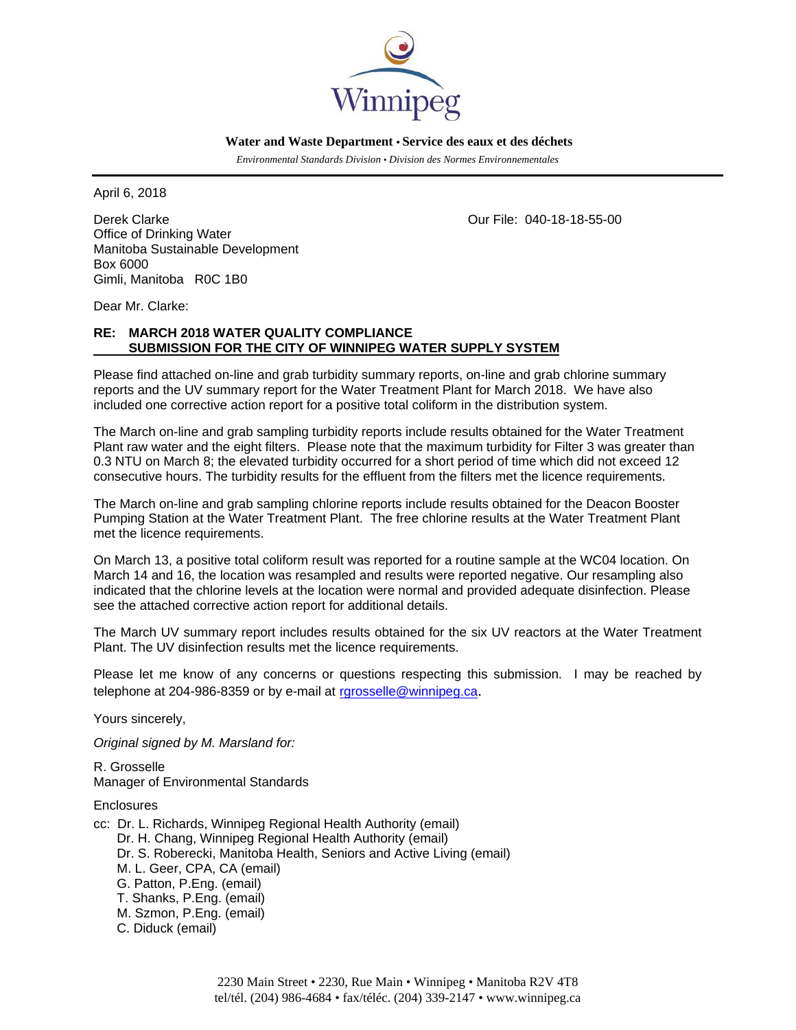

 **Water and Waste Department • Service des eaux et des déchets**

 *Environmental Standards Division • Division des Normes Environnementales* 

April 6, 2018

Derek Clarke Our File: 040-18-18-55-00 Office of Drinking Water Manitoba Sustainable Development Box 6000 Gimli, Manitoba R0C 1B0

Dear Mr. Clarke:

## **RE: MARCH 2018 WATER QUALITY COMPLIANCE SUBMISSION FOR THE CITY OF WINNIPEG WATER SUPPLY SYSTEM**

Please find attached on-line and grab turbidity summary reports, on-line and grab chlorine summary reports and the UV summary report for the Water Treatment Plant for March 2018. We have also included one corrective action report for a positive total coliform in the distribution system.

The March on-line and grab sampling turbidity reports include results obtained for the Water Treatment Plant raw water and the eight filters. Please note that the maximum turbidity for Filter 3 was greater than 0.3 NTU on March 8; the elevated turbidity occurred for a short period of time which did not exceed 12 consecutive hours. The turbidity results for the effluent from the filters met the licence requirements.

The March on-line and grab sampling chlorine reports include results obtained for the Deacon Booster Pumping Station at the Water Treatment Plant. The free chlorine results at the Water Treatment Plant met the licence requirements.

On March 13, a positive total coliform result was reported for a routine sample at the WC04 location. On March 14 and 16, the location was resampled and results were reported negative. Our resampling also indicated that the chlorine levels at the location were normal and provided adequate disinfection. Please see the attached corrective action report for additional details.

The March UV summary report includes results obtained for the six UV reactors at the Water Treatment Plant. The UV disinfection results met the licence requirements.

Please let me know of any concerns or questions respecting this submission. I may be reached by telephone at 204-986-8359 or by e-mail at rgrosselle@winnipeg.ca.

Yours sincerely,

*Original signed by M. Marsland for:* 

R. Grosselle Manager of Environmental Standards

**Enclosures** 

- cc: Dr. L. Richards, Winnipeg Regional Health Authority (email)
	- Dr. H. Chang, Winnipeg Regional Health Authority (email)
	- Dr. S. Roberecki, Manitoba Health, Seniors and Active Living (email)
	- M. L. Geer, CPA, CA (email)
	- G. Patton, P.Eng. (email)
	- T. Shanks, P.Eng. (email)
	- M. Szmon, P.Eng. (email)
	- C. Diduck (email)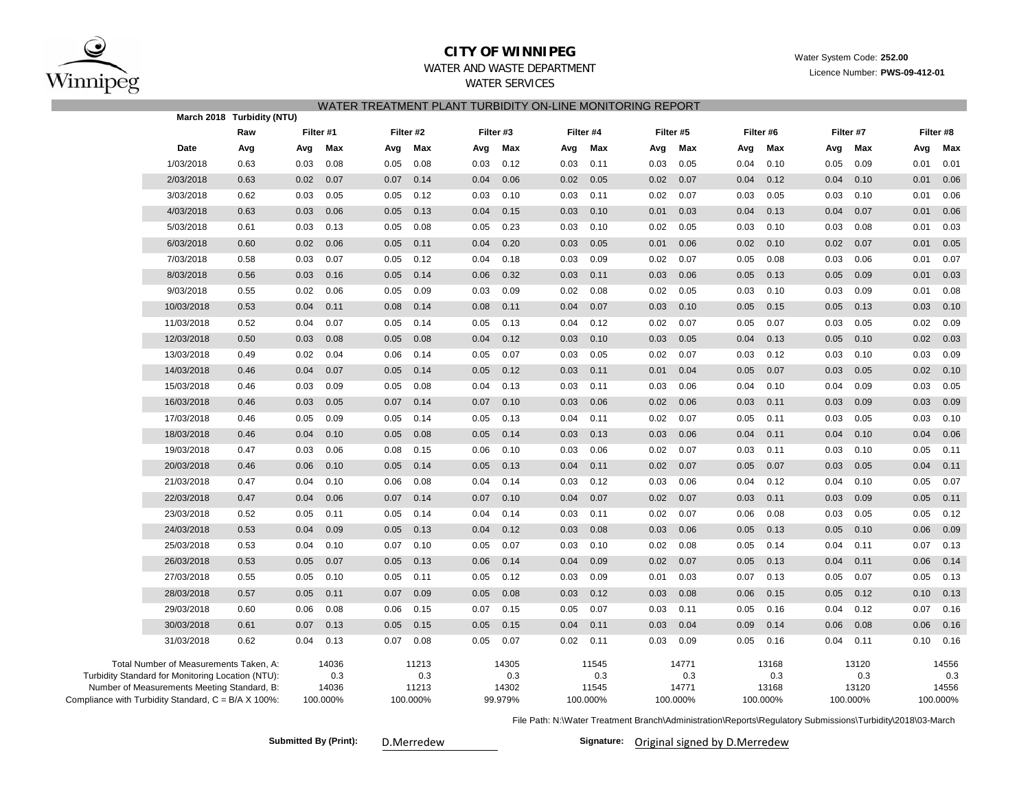

### **CITY OF WINNIPEG**

Water System Code: **252.00**

Licence Number: **PWS-09-412-01**

# WATER AND WASTE DEPARTMENT

WATER SERVICES

| WATER TREATMENT PLANT TURBIDITY ON-LINE MONITORING REPORT    |                                                                                                                                            |                                                                          |      |                                   |      |                                   |      |                                  |      |                                   |      |                                   |      |                                   |      |                                   |      |                                   |
|--------------------------------------------------------------|--------------------------------------------------------------------------------------------------------------------------------------------|--------------------------------------------------------------------------|------|-----------------------------------|------|-----------------------------------|------|----------------------------------|------|-----------------------------------|------|-----------------------------------|------|-----------------------------------|------|-----------------------------------|------|-----------------------------------|
|                                                              |                                                                                                                                            | March 2018 Turbidity (NTU)<br>Filter #2<br>Filter #3<br>Raw<br>Filter #1 |      |                                   |      |                                   |      | Filter #4<br>Filter #5           |      |                                   |      |                                   |      |                                   |      |                                   |      |                                   |
|                                                              |                                                                                                                                            |                                                                          |      |                                   |      |                                   |      |                                  |      |                                   |      |                                   |      | Filter #6                         |      | Filter #7                         |      | Filter #8                         |
|                                                              | Date                                                                                                                                       | Avg                                                                      | Avg  | Max                               | Avg  | Max                               | Avg  | Max                              | Avg  | Max                               | Avg  | Max                               | Avg  | Max                               | Avg  | Max                               | Avg  | Max                               |
|                                                              | 1/03/2018                                                                                                                                  | 0.63                                                                     | 0.03 | 0.08                              | 0.05 | 0.08                              | 0.03 | 0.12                             | 0.03 | 0.11                              | 0.03 | 0.05                              | 0.04 | 0.10                              | 0.05 | 0.09                              | 0.01 | 0.01                              |
|                                                              | 2/03/2018                                                                                                                                  | 0.63                                                                     | 0.02 | 0.07                              | 0.07 | 0.14                              | 0.04 | 0.06                             | 0.02 | 0.05                              | 0.02 | 0.07                              | 0.04 | 0.12                              | 0.04 | 0.10                              | 0.01 | 0.06                              |
|                                                              | 3/03/2018                                                                                                                                  | 0.62                                                                     | 0.03 | 0.05                              | 0.05 | 0.12                              | 0.03 | 0.10                             | 0.03 | 0.11                              | 0.02 | 0.07                              | 0.03 | 0.05                              | 0.03 | 0.10                              | 0.01 | 0.06                              |
|                                                              | 4/03/2018                                                                                                                                  | 0.63                                                                     | 0.03 | 0.06                              | 0.05 | 0.13                              | 0.04 | 0.15                             | 0.03 | 0.10                              | 0.01 | 0.03                              | 0.04 | 0.13                              | 0.04 | 0.07                              | 0.01 | 0.06                              |
|                                                              | 5/03/2018                                                                                                                                  | 0.61                                                                     | 0.03 | 0.13                              | 0.05 | 0.08                              | 0.05 | 0.23                             | 0.03 | 0.10                              | 0.02 | 0.05                              | 0.03 | 0.10                              | 0.03 | 0.08                              | 0.01 | 0.03                              |
|                                                              | 6/03/2018                                                                                                                                  | 0.60                                                                     | 0.02 | 0.06                              | 0.05 | 0.11                              | 0.04 | 0.20                             | 0.03 | 0.05                              | 0.01 | 0.06                              | 0.02 | 0.10                              | 0.02 | 0.07                              | 0.01 | 0.05                              |
|                                                              | 7/03/2018                                                                                                                                  | 0.58                                                                     | 0.03 | 0.07                              | 0.05 | 0.12                              | 0.04 | 0.18                             | 0.03 | 0.09                              | 0.02 | 0.07                              | 0.05 | 0.08                              | 0.03 | 0.06                              | 0.01 | 0.07                              |
|                                                              | 8/03/2018                                                                                                                                  | 0.56                                                                     | 0.03 | 0.16                              | 0.05 | 0.14                              | 0.06 | 0.32                             | 0.03 | 0.11                              | 0.03 | 0.06                              | 0.05 | 0.13                              | 0.05 | 0.09                              | 0.01 | 0.03                              |
|                                                              | 9/03/2018                                                                                                                                  | 0.55                                                                     | 0.02 | 0.06                              | 0.05 | 0.09                              | 0.03 | 0.09                             | 0.02 | 0.08                              | 0.02 | 0.05                              | 0.03 | 0.10                              | 0.03 | 0.09                              | 0.01 | 0.08                              |
|                                                              | 10/03/2018                                                                                                                                 | 0.53                                                                     | 0.04 | 0.11                              | 0.08 | 0.14                              | 0.08 | 0.11                             | 0.04 | 0.07                              | 0.03 | 0.10                              | 0.05 | 0.15                              | 0.05 | 0.13                              | 0.03 | 0.10                              |
|                                                              | 11/03/2018                                                                                                                                 | 0.52                                                                     | 0.04 | 0.07                              | 0.05 | 0.14                              | 0.05 | 0.13                             | 0.04 | 0.12                              | 0.02 | 0.07                              | 0.05 | 0.07                              | 0.03 | 0.05                              | 0.02 | 0.09                              |
|                                                              | 12/03/2018                                                                                                                                 | 0.50                                                                     | 0.03 | 0.08                              | 0.05 | 0.08                              | 0.04 | 0.12                             | 0.03 | 0.10                              | 0.03 | 0.05                              | 0.04 | 0.13                              | 0.05 | 0.10                              | 0.02 | 0.03                              |
|                                                              | 13/03/2018                                                                                                                                 | 0.49                                                                     | 0.02 | 0.04                              | 0.06 | 0.14                              | 0.05 | 0.07                             | 0.03 | 0.05                              | 0.02 | 0.07                              | 0.03 | 0.12                              | 0.03 | 0.10                              | 0.03 | 0.09                              |
|                                                              | 14/03/2018                                                                                                                                 | 0.46                                                                     | 0.04 | 0.07                              | 0.05 | 0.14                              | 0.05 | 0.12                             | 0.03 | 0.11                              | 0.01 | 0.04                              | 0.05 | 0.07                              | 0.03 | 0.05                              | 0.02 | 0.10                              |
|                                                              | 15/03/2018                                                                                                                                 | 0.46                                                                     | 0.03 | 0.09                              | 0.05 | 0.08                              | 0.04 | 0.13                             | 0.03 | 0.11                              | 0.03 | 0.06                              | 0.04 | 0.10                              | 0.04 | 0.09                              | 0.03 | 0.05                              |
|                                                              | 16/03/2018                                                                                                                                 | 0.46                                                                     | 0.03 | 0.05                              | 0.07 | 0.14                              | 0.07 | 0.10                             | 0.03 | 0.06                              | 0.02 | 0.06                              | 0.03 | 0.11                              | 0.03 | 0.09                              | 0.03 | 0.09                              |
|                                                              | 17/03/2018                                                                                                                                 | 0.46                                                                     | 0.05 | 0.09                              | 0.05 | 0.14                              | 0.05 | 0.13                             | 0.04 | 0.11                              | 0.02 | 0.07                              | 0.05 | 0.11                              | 0.03 | 0.05                              | 0.03 | 0.10                              |
|                                                              | 18/03/2018                                                                                                                                 | 0.46                                                                     | 0.04 | 0.10                              | 0.05 | 0.08                              | 0.05 | 0.14                             | 0.03 | 0.13                              | 0.03 | 0.06                              | 0.04 | 0.11                              | 0.04 | 0.10                              | 0.04 | 0.06                              |
|                                                              | 19/03/2018                                                                                                                                 | 0.47                                                                     | 0.03 | 0.06                              | 0.08 | 0.15                              | 0.06 | 0.10                             | 0.03 | 0.06                              | 0.02 | 0.07                              | 0.03 | 0.11                              | 0.03 | 0.10                              | 0.05 | 0.11                              |
|                                                              | 20/03/2018                                                                                                                                 | 0.46                                                                     | 0.06 | 0.10                              | 0.05 | 0.14                              | 0.05 | 0.13                             | 0.04 | 0.11                              | 0.02 | 0.07                              | 0.05 | 0.07                              | 0.03 | 0.05                              | 0.04 | 0.11                              |
|                                                              | 21/03/2018                                                                                                                                 | 0.47                                                                     | 0.04 | 0.10                              | 0.06 | 0.08                              | 0.04 | 0.14                             | 0.03 | 0.12                              | 0.03 | 0.06                              | 0.04 | 0.12                              | 0.04 | 0.10                              | 0.05 | 0.07                              |
|                                                              | 22/03/2018                                                                                                                                 | 0.47                                                                     | 0.04 | 0.06                              | 0.07 | 0.14                              | 0.07 | 0.10                             | 0.04 | 0.07                              | 0.02 | 0.07                              | 0.03 | 0.11                              | 0.03 | 0.09                              | 0.05 | 0.11                              |
|                                                              | 23/03/2018                                                                                                                                 | 0.52                                                                     | 0.05 | 0.11                              | 0.05 | 0.14                              | 0.04 | 0.14                             | 0.03 | 0.11                              | 0.02 | 0.07                              | 0.06 | 0.08                              | 0.03 | 0.05                              | 0.05 | 0.12                              |
|                                                              | 24/03/2018                                                                                                                                 | 0.53                                                                     | 0.04 | 0.09                              | 0.05 | 0.13                              | 0.04 | 0.12                             | 0.03 | 0.08                              | 0.03 | 0.06                              | 0.05 | 0.13                              | 0.05 | 0.10                              | 0.06 | 0.09                              |
|                                                              | 25/03/2018                                                                                                                                 | 0.53                                                                     | 0.04 | 0.10                              | 0.07 | 0.10                              | 0.05 | 0.07                             | 0.03 | 0.10                              | 0.02 | 0.08                              | 0.05 | 0.14                              | 0.04 | 0.11                              | 0.07 | 0.13                              |
|                                                              | 26/03/2018                                                                                                                                 | 0.53                                                                     | 0.05 | 0.07                              | 0.05 | 0.13                              | 0.06 | 0.14                             | 0.04 | 0.09                              | 0.02 | 0.07                              | 0.05 | 0.13                              | 0.04 | 0.11                              | 0.06 | 0.14                              |
|                                                              | 27/03/2018                                                                                                                                 | 0.55                                                                     | 0.05 | 0.10                              | 0.05 | 0.11                              | 0.05 | 0.12                             | 0.03 | 0.09                              | 0.01 | 0.03                              | 0.07 | 0.13                              | 0.05 | 0.07                              | 0.05 | 0.13                              |
|                                                              | 28/03/2018                                                                                                                                 | 0.57                                                                     | 0.05 | 0.11                              | 0.07 | 0.09                              | 0.05 | 0.08                             | 0.03 | 0.12                              | 0.03 | 0.08                              | 0.06 | 0.15                              | 0.05 | 0.12                              | 0.10 | 0.13                              |
|                                                              | 29/03/2018                                                                                                                                 | 0.60                                                                     | 0.06 | 0.08                              | 0.06 | 0.15                              | 0.07 | 0.15                             | 0.05 | 0.07                              | 0.03 | 0.11                              | 0.05 | 0.16                              | 0.04 | 0.12                              | 0.07 | 0.16                              |
|                                                              | 30/03/2018                                                                                                                                 | 0.61                                                                     | 0.07 | 0.13                              | 0.05 | 0.15                              | 0.05 | 0.15                             | 0.04 | 0.11                              | 0.03 | 0.04                              | 0.09 | 0.14                              | 0.06 | 0.08                              | 0.06 | 0.16                              |
|                                                              | 31/03/2018                                                                                                                                 | 0.62                                                                     | 0.04 | 0.13                              | 0.07 | 0.08                              | 0.05 | 0.07                             | 0.02 | 0.11                              | 0.03 | 0.09                              | 0.05 | 0.16                              | 0.04 | 0.11                              | 0.10 | 0.16                              |
| Compliance with Turbidity Standard, $C = B/A \times 100\%$ : | Total Number of Measurements Taken, A:<br>Turbidity Standard for Monitoring Location (NTU):<br>Number of Measurements Meeting Standard, B: |                                                                          |      | 14036<br>0.3<br>14036<br>100.000% |      | 11213<br>0.3<br>11213<br>100.000% |      | 14305<br>0.3<br>14302<br>99.979% |      | 11545<br>0.3<br>11545<br>100.000% |      | 14771<br>0.3<br>14771<br>100.000% |      | 13168<br>0.3<br>13168<br>100.000% |      | 13120<br>0.3<br>13120<br>100.000% |      | 14556<br>0.3<br>14556<br>100.000% |

File Path: N:\Water Treatment Branch\Administration\Reports\Regulatory Submissions\Turbidity\2018\03-March

Submitted By (Print): D.Merredew **Communisty Communisty Communisty Communisty Communisty Communisty Original signed by D.Merredew**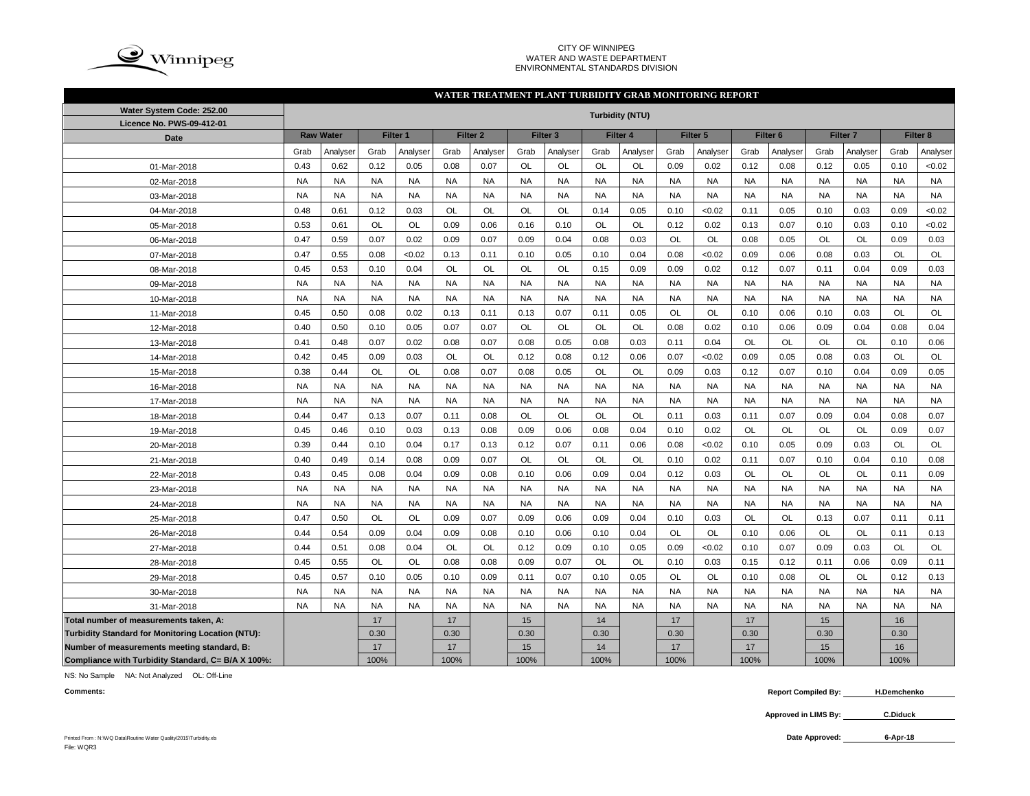

### CITY OF WINNIPEG WATER AND WASTE DEPARTMENT ENVIRONMENTAL STANDARDS DIVISION

### **WATER TREATMENT PLANT TURBIDITY GRAB MONITORING REPORT**

| Water System Code: 252.00                          |           |                  |           |           |           |                     |           |                     |           | <b>Turbidity (NTU)</b> |           |           |           |                     |           |                     |           |           |
|----------------------------------------------------|-----------|------------------|-----------|-----------|-----------|---------------------|-----------|---------------------|-----------|------------------------|-----------|-----------|-----------|---------------------|-----------|---------------------|-----------|-----------|
| Licence No. PWS-09-412-01                          |           |                  |           |           |           |                     |           |                     |           |                        |           |           |           |                     |           |                     |           |           |
| Date                                               |           | <b>Raw Water</b> |           | Filter 1  |           | Filter <sub>2</sub> |           | Filter <sub>3</sub> |           | Filter 4               |           | Filter 5  |           | Filter <sub>6</sub> |           | Filter <sub>7</sub> |           | Filter 8  |
|                                                    | Grab      | Analyser         | Grab      | Analyser  | Grab      | Analyser            | Grab      | Analyser            | Grab      | Analyser               | Grab      | Analyser  | Grab      | Analyser            | Grab      | Analyser            | Grab      | Analyser  |
| 01-Mar-2018                                        | 0.43      | 0.62             | 0.12      | 0.05      | 0.08      | 0.07                | OL        | <b>OL</b>           | OL        | OL                     | 0.09      | 0.02      | 0.12      | 0.08                | 0.12      | 0.05                | 0.10      | <0.02     |
| 02-Mar-2018                                        | <b>NA</b> | <b>NA</b>        | <b>NA</b> | <b>NA</b> | <b>NA</b> | <b>NA</b>           | <b>NA</b> | <b>NA</b>           | <b>NA</b> | <b>NA</b>              | <b>NA</b> | <b>NA</b> | <b>NA</b> | <b>NA</b>           | <b>NA</b> | <b>NA</b>           | <b>NA</b> | <b>NA</b> |
| 03-Mar-2018                                        | <b>NA</b> | <b>NA</b>        | <b>NA</b> | <b>NA</b> | <b>NA</b> | <b>NA</b>           | <b>NA</b> | <b>NA</b>           | <b>NA</b> | <b>NA</b>              | <b>NA</b> | <b>NA</b> | <b>NA</b> | <b>NA</b>           | <b>NA</b> | <b>NA</b>           | <b>NA</b> | <b>NA</b> |
| 04-Mar-2018                                        | 0.48      | 0.61             | 0.12      | 0.03      | <b>OL</b> | <b>OL</b>           | OL        | OL                  | 0.14      | 0.05                   | 0.10      | < 0.02    | 0.11      | 0.05                | 0.10      | 0.03                | 0.09      | <0.02     |
| 05-Mar-2018                                        | 0.53      | 0.61             | OL        | <b>OL</b> | 0.09      | 0.06                | 0.16      | 0.10                | OL        | OL                     | 0.12      | 0.02      | 0.13      | 0.07                | 0.10      | 0.03                | 0.10      | <0.02     |
| 06-Mar-2018                                        | 0.47      | 0.59             | 0.07      | 0.02      | 0.09      | 0.07                | 0.09      | 0.04                | 0.08      | 0.03                   | OL        | OL        | 0.08      | 0.05                | OL        | <b>OL</b>           | 0.09      | 0.03      |
| 07-Mar-2018                                        | 0.47      | 0.55             | 0.08      | < 0.02    | 0.13      | 0.11                | 0.10      | 0.05                | 0.10      | 0.04                   | 0.08      | < 0.02    | 0.09      | 0.06                | 0.08      | 0.03                | OL        | OL        |
| 08-Mar-2018                                        | 0.45      | 0.53             | 0.10      | 0.04      | <b>OL</b> | OL                  | OL        | OL                  | 0.15      | 0.09                   | 0.09      | 0.02      | 0.12      | 0.07                | 0.11      | 0.04                | 0.09      | 0.03      |
| 09-Mar-2018                                        | <b>NA</b> | <b>NA</b>        | <b>NA</b> | <b>NA</b> | <b>NA</b> | <b>NA</b>           | <b>NA</b> | <b>NA</b>           | <b>NA</b> | <b>NA</b>              | <b>NA</b> | <b>NA</b> | <b>NA</b> | <b>NA</b>           | <b>NA</b> | <b>NA</b>           | <b>NA</b> | <b>NA</b> |
| 10-Mar-2018                                        | <b>NA</b> | <b>NA</b>        | <b>NA</b> | <b>NA</b> | <b>NA</b> | <b>NA</b>           | <b>NA</b> | <b>NA</b>           | <b>NA</b> | <b>NA</b>              | <b>NA</b> | <b>NA</b> | <b>NA</b> | <b>NA</b>           | <b>NA</b> | <b>NA</b>           | <b>NA</b> | <b>NA</b> |
| 11-Mar-2018                                        | 0.45      | 0.50             | 0.08      | 0.02      | 0.13      | 0.11                | 0.13      | 0.07                | 0.11      | 0.05                   | OL        | OL        | 0.10      | 0.06                | 0.10      | 0.03                | OL        | OL        |
| 12-Mar-2018                                        | 0.40      | 0.50             | 0.10      | 0.05      | 0.07      | 0.07                | OL        | OL                  | OL        | OL                     | 0.08      | 0.02      | 0.10      | 0.06                | 0.09      | 0.04                | 0.08      | 0.04      |
| 13-Mar-2018                                        | 0.41      | 0.48             | 0.07      | 0.02      | 0.08      | 0.07                | 0.08      | 0.05                | 0.08      | 0.03                   | 0.11      | 0.04      | OL        | OL                  | OL        | OL                  | 0.10      | 0.06      |
| 14-Mar-2018                                        | 0.42      | 0.45             | 0.09      | 0.03      | OL        | OL                  | 0.12      | 0.08                | 0.12      | 0.06                   | 0.07      | < 0.02    | 0.09      | 0.05                | 0.08      | 0.03                | OL        | OL        |
| 15-Mar-2018                                        | 0.38      | 0.44             | OL        | <b>OL</b> | 0.08      | 0.07                | 0.08      | 0.05                | OL        | OL                     | 0.09      | 0.03      | 0.12      | 0.07                | 0.10      | 0.04                | 0.09      | 0.05      |
| 16-Mar-2018                                        | <b>NA</b> | <b>NA</b>        | <b>NA</b> | <b>NA</b> | <b>NA</b> | <b>NA</b>           | <b>NA</b> | <b>NA</b>           | <b>NA</b> | <b>NA</b>              | <b>NA</b> | <b>NA</b> | <b>NA</b> | <b>NA</b>           | <b>NA</b> | <b>NA</b>           | <b>NA</b> | <b>NA</b> |
| 17-Mar-2018                                        | <b>NA</b> | <b>NA</b>        | <b>NA</b> | <b>NA</b> | <b>NA</b> | <b>NA</b>           | <b>NA</b> | <b>NA</b>           | <b>NA</b> | <b>NA</b>              | <b>NA</b> | <b>NA</b> | <b>NA</b> | <b>NA</b>           | <b>NA</b> | <b>NA</b>           | <b>NA</b> | <b>NA</b> |
| 18-Mar-2018                                        | 0.44      | 0.47             | 0.13      | 0.07      | 0.11      | 0.08                | OL        | OL                  | OL        | OL                     | 0.11      | 0.03      | 0.11      | 0.07                | 0.09      | 0.04                | 0.08      | 0.07      |
| 19-Mar-2018                                        | 0.45      | 0.46             | 0.10      | 0.03      | 0.13      | 0.08                | 0.09      | 0.06                | 0.08      | 0.04                   | 0.10      | 0.02      | <b>OL</b> | OL                  | <b>OL</b> | <b>OL</b>           | 0.09      | 0.07      |
| 20-Mar-2018                                        | 0.39      | 0.44             | 0.10      | 0.04      | 0.17      | 0.13                | 0.12      | 0.07                | 0.11      | 0.06                   | 0.08      | < 0.02    | 0.10      | 0.05                | 0.09      | 0.03                | OL        | OL        |
| 21-Mar-2018                                        | 0.40      | 0.49             | 0.14      | 0.08      | 0.09      | 0.07                | OL        | OL                  | OL        | OL                     | 0.10      | 0.02      | 0.11      | 0.07                | 0.10      | 0.04                | 0.10      | 0.08      |
| 22-Mar-2018                                        | 0.43      | 0.45             | 0.08      | 0.04      | 0.09      | 0.08                | 0.10      | 0.06                | 0.09      | 0.04                   | 0.12      | 0.03      | OL        | OL                  | OL        | OL                  | 0.11      | 0.09      |
| 23-Mar-2018                                        | <b>NA</b> | <b>NA</b>        | <b>NA</b> | <b>NA</b> | <b>NA</b> | <b>NA</b>           | <b>NA</b> | <b>NA</b>           | <b>NA</b> | <b>NA</b>              | <b>NA</b> | <b>NA</b> | <b>NA</b> | <b>NA</b>           | <b>NA</b> | <b>NA</b>           | <b>NA</b> | <b>NA</b> |
| 24-Mar-2018                                        | <b>NA</b> | <b>NA</b>        | <b>NA</b> | <b>NA</b> | <b>NA</b> | <b>NA</b>           | <b>NA</b> | <b>NA</b>           | <b>NA</b> | <b>NA</b>              | <b>NA</b> | <b>NA</b> | <b>NA</b> | <b>NA</b>           | <b>NA</b> | <b>NA</b>           | <b>NA</b> | <b>NA</b> |
| 25-Mar-2018                                        | 0.47      | 0.50             | <b>OL</b> | <b>OL</b> | 0.09      | 0.07                | 0.09      | 0.06                | 0.09      | 0.04                   | 0.10      | 0.03      | <b>OL</b> | <b>OL</b>           | 0.13      | 0.07                | 0.11      | 0.11      |
| 26-Mar-2018                                        | 0.44      | 0.54             | 0.09      | 0.04      | 0.09      | 0.08                | 0.10      | 0.06                | 0.10      | 0.04                   | <b>OL</b> | OL        | 0.10      | 0.06                | OL        | <b>OL</b>           | 0.11      | 0.13      |
| 27-Mar-2018                                        | 0.44      | 0.51             | 0.08      | 0.04      | <b>OL</b> | OL                  | 0.12      | 0.09                | 0.10      | 0.05                   | 0.09      | < 0.02    | 0.10      | 0.07                | 0.09      | 0.03                | <b>OL</b> | OL        |
| 28-Mar-2018                                        | 0.45      | 0.55             | OL        | OL        | 0.08      | 0.08                | 0.09      | 0.07                | OL        | OL                     | 0.10      | 0.03      | 0.15      | 0.12                | 0.11      | 0.06                | 0.09      | 0.11      |
| 29-Mar-2018                                        | 0.45      | 0.57             | 0.10      | 0.05      | 0.10      | 0.09                | 0.11      | 0.07                | 0.10      | 0.05                   | OL        | OL        | 0.10      | 0.08                | OL        | OL                  | 0.12      | 0.13      |
| 30-Mar-2018                                        | <b>NA</b> | <b>NA</b>        | <b>NA</b> | <b>NA</b> | <b>NA</b> | <b>NA</b>           | <b>NA</b> | <b>NA</b>           | <b>NA</b> | <b>NA</b>              | <b>NA</b> | <b>NA</b> | <b>NA</b> | <b>NA</b>           | <b>NA</b> | <b>NA</b>           | <b>NA</b> | <b>NA</b> |
| 31-Mar-2018                                        | <b>NA</b> | <b>NA</b>        | <b>NA</b> | <b>NA</b> | <b>NA</b> | <b>NA</b>           | <b>NA</b> | <b>NA</b>           | <b>NA</b> | <b>NA</b>              | <b>NA</b> | <b>NA</b> | <b>NA</b> | <b>NA</b>           | <b>NA</b> | <b>NA</b>           | <b>NA</b> | <b>NA</b> |
| Total number of measurements taken, A:             |           |                  | 17        |           | 17        |                     | 15        |                     | 14        |                        | 17        |           | 17        |                     | 15        |                     | 16        |           |
| Turbidity Standard for Monitoring Location (NTU):  |           |                  | 0.30      |           | 0.30      |                     | 0.30      |                     | 0.30      |                        | 0.30      |           | 0.30      |                     | 0.30      |                     | 0.30      |           |
| Number of measurements meeting standard, B:        |           |                  | 17        |           | 17        |                     | 15        |                     | 14        |                        | 17        |           | 17        |                     | 15        |                     | 16        |           |
| Compliance with Turbidity Standard, C= B/A X 100%: |           |                  | 100%      |           | 100%      |                     | 100%      |                     | 100%      |                        | 100%      |           | 100%      |                     | 100%      |                     | 100%      |           |

NS: No Sample NA: Not Analyzed OL: Off-Line

**6-Apr-18**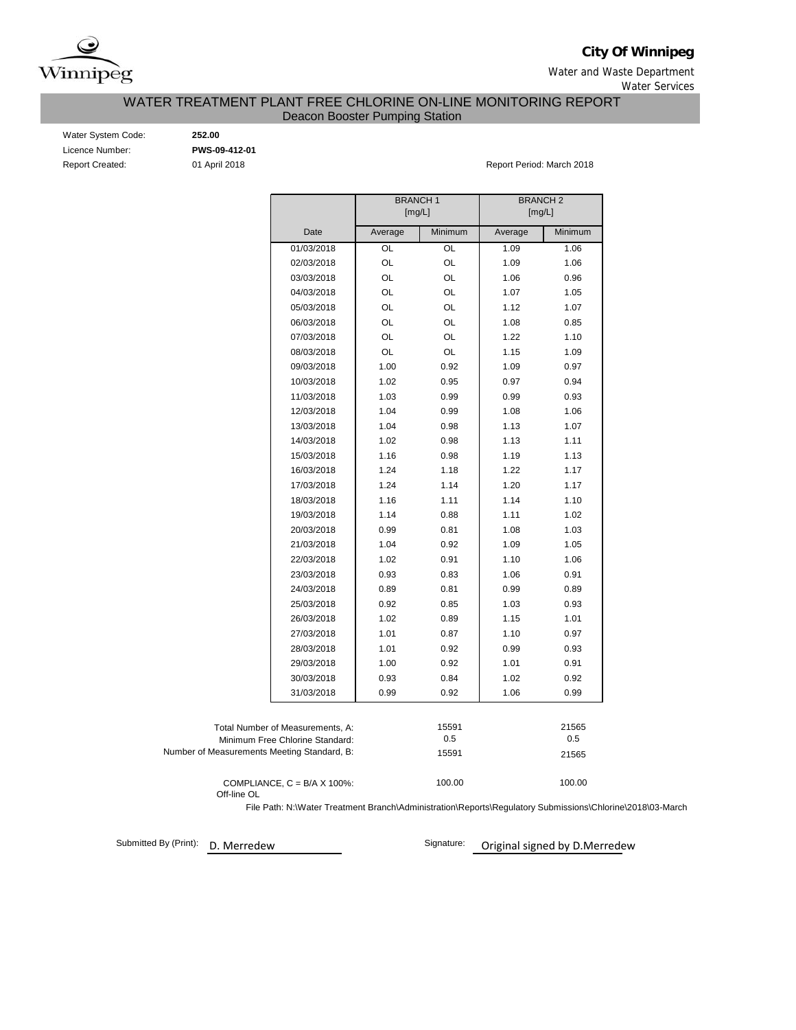

**City Of Winnipeg**

Water and Waste Department Water Services

WATER TREATMENT PLANT FREE CHLORINE ON-LINE MONITORING REPORT

Deacon Booster Pumping Station

| Water System Code:     |
|------------------------|
| Licence Number:        |
| <b>Report Created:</b> |

Water System Code: **252.00** Licence Number: **PWS-09-412-01**

01 April 2018 **Report Period: March 2018** Report Period: March 2018

|                                                                     | <b>BRANCH1</b><br>[mg/L] |              | <b>BRANCH2</b><br>[mg/L] |              |
|---------------------------------------------------------------------|--------------------------|--------------|--------------------------|--------------|
| Date                                                                | Average                  | Minimum      | Average                  | Minimum      |
| 01/03/2018                                                          | OL                       | OL           | 1.09                     | 1.06         |
| 02/03/2018                                                          | OL                       | OL           | 1.09                     | 1.06         |
| 03/03/2018                                                          | OL                       | OL           | 1.06                     | 0.96         |
| 04/03/2018                                                          | OL                       | OL           | 1.07                     | 1.05         |
| 05/03/2018                                                          | OL                       | OL           | 1.12                     | 1.07         |
| 06/03/2018                                                          | OL                       | OL           | 1.08                     | 0.85         |
| 07/03/2018                                                          | OL                       | OL           | 1.22                     | 1.10         |
| 08/03/2018                                                          | OL                       | OL           | 1.15                     | 1.09         |
| 09/03/2018                                                          | 1.00                     | 0.92         | 1.09                     | 0.97         |
| 10/03/2018                                                          | 1.02                     | 0.95         | 0.97                     | 0.94         |
| 11/03/2018                                                          | 1.03                     | 0.99         | 0.99                     | 0.93         |
| 12/03/2018                                                          | 1.04                     | 0.99         | 1.08                     | 1.06         |
| 13/03/2018                                                          | 1.04                     | 0.98         | 1.13                     | 1.07         |
| 14/03/2018                                                          | 1.02                     | 0.98         | 1.13                     | 1.11         |
| 15/03/2018                                                          | 1.16                     | 0.98         | 1.19                     | 1.13         |
| 16/03/2018                                                          | 1.24                     | 1.18         | 1.22                     | 1.17         |
| 17/03/2018                                                          | 1.24                     | 1.14         | 1.20                     | 1.17         |
| 18/03/2018                                                          | 1.16                     | 1.11         | 1.14                     | 1.10         |
| 19/03/2018                                                          | 1.14                     | 0.88         | 1.11                     | 1.02         |
| 20/03/2018                                                          | 0.99                     | 0.81         | 1.08                     | 1.03         |
| 21/03/2018                                                          | 1.04                     | 0.92         | 1.09                     | 1.05         |
| 22/03/2018                                                          | 1.02                     | 0.91         | 1.10                     | 1.06         |
| 23/03/2018                                                          | 0.93                     | 0.83         | 1.06                     | 0.91         |
| 24/03/2018                                                          | 0.89                     | 0.81         | 0.99                     | 0.89         |
| 25/03/2018                                                          | 0.92                     | 0.85         | 1.03                     | 0.93         |
| 26/03/2018                                                          | 1.02                     | 0.89         | 1.15                     | 1.01         |
| 27/03/2018                                                          | 1.01                     | 0.87         | 1.10                     | 0.97         |
| 28/03/2018                                                          | 1.01                     | 0.92         | 0.99                     | 0.93         |
| 29/03/2018                                                          | 1.00                     | 0.92         | 1.01                     | 0.91         |
| 30/03/2018                                                          | 0.93                     | 0.84         | 1.02                     | 0.92         |
| 31/03/2018                                                          | 0.99                     | 0.92         | 1.06                     | 0.99         |
| Total Number of Measurements, A:<br>Minimum Free Chlorine Standard: |                          | 15591<br>0.5 |                          | 21565<br>0.5 |
| Number of Measurements Meeting Standard, B:                         |                          | 15591        |                          | 21565        |
| COMPLIANCE, $C = B/A \times 100\%$ :                                |                          | 100.00       |                          | 100.00       |

Off-line OL

File Path: N:\Water Treatment Branch\Administration\Reports\Regulatory Submissions\Chlorine\2018\03-March

Submitted By (Print): D. Merredew

Signature: Original signed by D.Merredew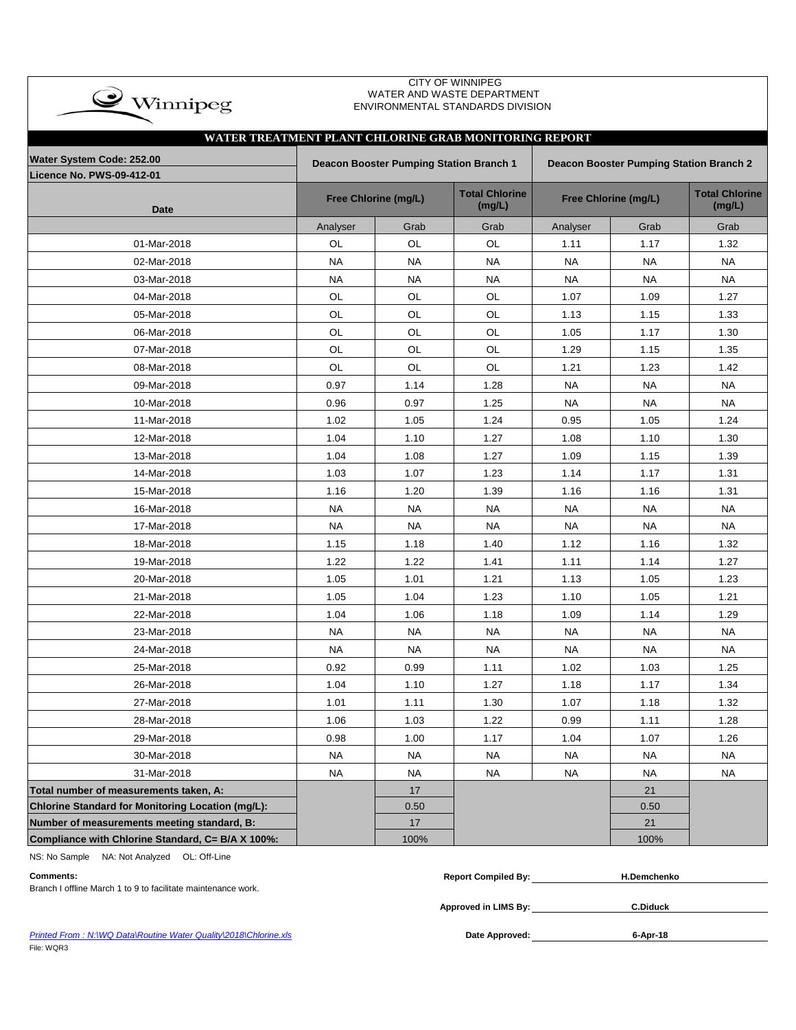| CITY OF WINNIPEG<br>WATER AND WASTE DEPARTMENT<br>$\clubsuit$ Winnipeg<br>ENVIRONMENTAL STANDARDS DIVISION |           |                                         |                                 |           |                                                |                                 |  |  |  |  |  |
|------------------------------------------------------------------------------------------------------------|-----------|-----------------------------------------|---------------------------------|-----------|------------------------------------------------|---------------------------------|--|--|--|--|--|
| WATER TREATMENT PLANT CHLORINE GRAB MONITORING REPORT                                                      |           |                                         |                                 |           |                                                |                                 |  |  |  |  |  |
| Water System Code: 252.00                                                                                  |           | Deacon Booster Pumping Station Branch 1 |                                 |           | <b>Deacon Booster Pumping Station Branch 2</b> |                                 |  |  |  |  |  |
| <b>Licence No. PWS-09-412-01</b>                                                                           |           |                                         |                                 |           |                                                |                                 |  |  |  |  |  |
| <b>Date</b>                                                                                                |           | Free Chlorine (mg/L)                    | <b>Total Chlorine</b><br>(mg/L) |           | Free Chlorine (mg/L)                           | <b>Total Chlorine</b><br>(mg/L) |  |  |  |  |  |
|                                                                                                            | Analyser  | Grab                                    | Grab                            | Analyser  | Grab                                           | Grab                            |  |  |  |  |  |
| 01-Mar-2018                                                                                                | OL        | OL                                      | OL                              | 1.11      | 1.17                                           | 1.32                            |  |  |  |  |  |
| 02-Mar-2018                                                                                                | <b>NA</b> | <b>NA</b>                               | <b>NA</b>                       | <b>NA</b> | NA                                             | <b>NA</b>                       |  |  |  |  |  |
| 03-Mar-2018                                                                                                | <b>NA</b> | <b>NA</b>                               | <b>NA</b>                       | <b>NA</b> | <b>NA</b>                                      | <b>NA</b>                       |  |  |  |  |  |
| 04-Mar-2018                                                                                                | OL        | OL                                      | OL                              | 1.07      | 1.09                                           | 1.27                            |  |  |  |  |  |
| 05-Mar-2018                                                                                                | OL        | OL                                      | OL                              | 1.13      | 1.15                                           | 1.33                            |  |  |  |  |  |
| 06-Mar-2018                                                                                                | OL        | <b>OL</b>                               | OL                              | 1.05      | 1.17                                           | 1.30                            |  |  |  |  |  |
| 07-Mar-2018                                                                                                | OL        | OL                                      | OL                              | 1.29      | 1.15                                           | 1.35                            |  |  |  |  |  |
| 08-Mar-2018                                                                                                | OL        | <b>OL</b>                               | <b>OL</b>                       | 1.21      | 1.23                                           | 1.42                            |  |  |  |  |  |
| 09-Mar-2018                                                                                                | 0.97      | 1.14                                    | 1.28                            | <b>NA</b> | <b>NA</b>                                      | <b>NA</b>                       |  |  |  |  |  |
| 10-Mar-2018                                                                                                | 0.96      | 0.97                                    | 1.25                            | NA        | NA                                             | NA.                             |  |  |  |  |  |
| 11-Mar-2018                                                                                                | 1.02      | 1.05                                    | 1.24                            | 0.95      | 1.05                                           | 1.24                            |  |  |  |  |  |
| 12-Mar-2018                                                                                                | 1.04      | 1.10                                    | 1.27                            | 1.08      | 1.10                                           | 1.30                            |  |  |  |  |  |
| 13-Mar-2018                                                                                                | 1.04      | 1.08                                    | 1.27                            | 1.09      | 1.15                                           | 1.39                            |  |  |  |  |  |
| 14-Mar-2018                                                                                                | 1.03      | 1.07                                    | 1.23                            | 1.14      | 1.17                                           | 1.31                            |  |  |  |  |  |
| 15-Mar-2018                                                                                                | 1.16      | 1.20                                    | 1.39                            | 1.16      | 1.16                                           | 1.31                            |  |  |  |  |  |
| 16-Mar-2018                                                                                                | <b>NA</b> | <b>NA</b>                               | <b>NA</b>                       | <b>NA</b> | NA                                             | <b>NA</b>                       |  |  |  |  |  |
| 17-Mar-2018                                                                                                | NA.       | NA                                      | NA                              | NA        | NA                                             | NA                              |  |  |  |  |  |
| 18-Mar-2018                                                                                                | 1.15      | 1.18                                    | 1.40                            | 1.12      | 1.16                                           | 1.32                            |  |  |  |  |  |
| 19-Mar-2018                                                                                                | 1.22      | 1.22                                    | 1.41                            | 1.11      | 1.14                                           | 1.27                            |  |  |  |  |  |
| 20-Mar-2018                                                                                                | 1.05      | 1.01                                    | 1.21                            | 1.13      | 1.05                                           | 1.23                            |  |  |  |  |  |
| 21-Mar-2018                                                                                                | 1.05      | 1.04                                    | 1.23                            | 1.10      | 1.05                                           | 1.21                            |  |  |  |  |  |
| 22-Mar-2018                                                                                                | 1.04      | 1.06                                    | 1.18                            | 1.09      | 1.14                                           | 1.29                            |  |  |  |  |  |
| 23-Mar-2018                                                                                                | <b>NA</b> | <b>NA</b>                               | <b>NA</b>                       | <b>NA</b> | <b>NA</b>                                      | <b>NA</b>                       |  |  |  |  |  |
| 24-Mar-2018                                                                                                | <b>NA</b> | <b>NA</b>                               | <b>NA</b>                       | <b>NA</b> | <b>NA</b>                                      | <b>NA</b>                       |  |  |  |  |  |
| 25-Mar-2018                                                                                                | 0.92      | 0.99                                    | 1.11                            | 1.02      | 1.03                                           | 1.25                            |  |  |  |  |  |
| 26-Mar-2018                                                                                                | 1.04      | 1.10                                    | 1.27                            | 1.18      | 1.17                                           | 1.34                            |  |  |  |  |  |
| 27-Mar-2018                                                                                                | 1.01      | 1.11                                    | 1.30                            | 1.07      | 1.18                                           | 1.32                            |  |  |  |  |  |
| 28-Mar-2018                                                                                                | 1.06      | 1.03                                    | 1.22                            | 0.99      | 1.11                                           | 1.28                            |  |  |  |  |  |
| 29-Mar-2018                                                                                                | 0.98      | 1.00                                    | 1.17                            | 1.04      | 1.07                                           | 1.26                            |  |  |  |  |  |
| 30-Mar-2018                                                                                                | <b>NA</b> | <b>NA</b>                               | <b>NA</b>                       | <b>NA</b> | <b>NA</b>                                      | <b>NA</b>                       |  |  |  |  |  |
| 31-Mar-2018                                                                                                | <b>NA</b> | <b>NA</b>                               | NA                              | <b>NA</b> | NA                                             | <b>NA</b>                       |  |  |  |  |  |
| Total number of measurements taken, A:                                                                     |           | 17                                      |                                 |           | 21                                             |                                 |  |  |  |  |  |
| Chlorine Standard for Monitoring Location (mg/L):                                                          |           | 0.50                                    |                                 |           | 0.50                                           |                                 |  |  |  |  |  |
| Number of measurements meeting standard, B:                                                                |           | 17                                      |                                 |           | 21                                             |                                 |  |  |  |  |  |
| Compliance with Chlorine Standard, C= B/A X 100%:                                                          |           | 100%                                    |                                 |           | 100%                                           |                                 |  |  |  |  |  |

NS: No Sample NA: Not Analyzed OL: Off-Line

| <b>Comments:</b>                                                 | <b>Report Compiled By:</b> | <b>H.Demchenko</b> |  |
|------------------------------------------------------------------|----------------------------|--------------------|--|
| Branch I offline March 1 to 9 to facilitate maintenance work.    |                            |                    |  |
|                                                                  | Approved in LIMS By:       | <b>C.Diduck</b>    |  |
| Printed From: N:\WQ Data\Routine Water Quality\2018\Chlorine.xls | Date Approved:             | 6-Apr-18           |  |

**Printed From : N:\WQ Data\Routine Water Quality\2018\Chlorine.xls** File: WQR3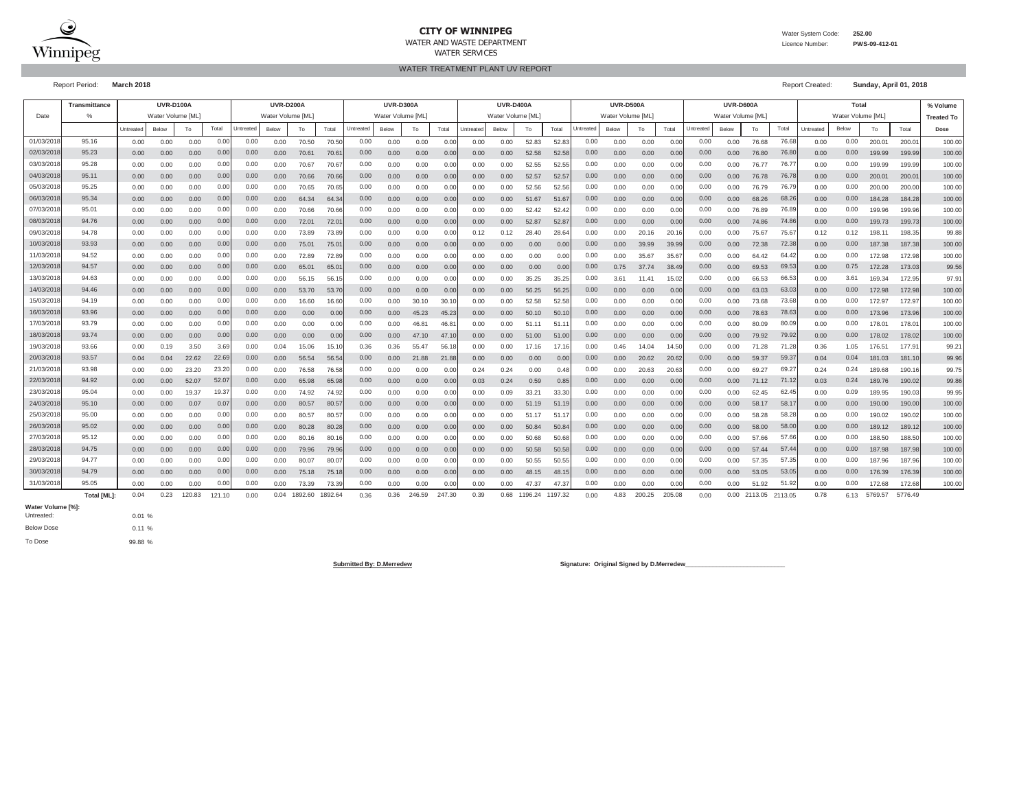

### **CITY OF WINNIPEG**WATER AND WASTE DEPARTMENT

Water System Code: **252.00**

 Licence Number:**PWS-09-412-01**

WATER TREATMENT PLANT UV REPORTWATER SERVICES

Report Period: **March 2018** Report Created: **Sunday, April 01, 2018**

**% Volume Treated To**Untreated Below To Below To Below To Total Puntreated Below To Total Untreated Below To Total Untreated Below To Total Puntreated Below To I Dial Below To Total Below To Total Below To Total Below To Total Below To Total B **Dose** 0.00 0.00 0.00 0.00 70.50 70.50 0.00 0.00 0.00 0.00 0.00 52.83 52.83 0.00 0.00 0.00 0.00 76.68 0.00 200.01 200.01 100.000.00 0.00 0.00 0.00 70.61 70.61 0.00 0.00 0.00 0.00 0.00 52.58 52.58 0.00 0.00 0.00 0.00 76.80 0.00 199.99 199.99 100.00100.00 0.00 0.00 0.00 0.00 70.67 70.67 0.00 0.00 0.00 0.00 0.00 52.55 52.55 0.00 0.00 0.00 0.00 76.77 0.00 199.99 199.99 100.000.00 0.00 0.00 0.00 70.66 70.66 0.00 0.00 0.00 0.00 0.00 52.57 52.57 0.00 0.00 0.00 0.00 76.78 0.00 200.01 200.01 100.000.00 0.00 0.00 0.00 0.00 70.65 70.65 0.00 0.00 0.00 0.00 0.00 52.56 52.56 0.00 0.00 0.00 0.00 0.00 76.79 76.79 0.00 0.00 200.00 200.00 100.00 0.00 0.00 0.00 0.00 0.00 64.34 64.34 0.00 0.00 0.00 0.00 0.00 51.67 51.67| 0.00 0.00 0.00 0.00 0.00 68.26 68.26| 0.00 0.00 184.28 184.28| 100.00 0.00 0.00 0.00 0.00 0.00 70.66 70.66| 0.00 0.00 0.00 0.00| 0.00 52.42 52.42| 0.00 0.00 0.00 0.00| 0.00 0.00| 76.89 76.89| 0.00 0.00 199.96 199.96| 100.00 0.00 0.00 0.00 0.00 72.01 72.01 0.00 0.00 0.00 0.00 0.00 52.87 52.87 0.00 0.00 0.00 0.00 74.86 0.00 199.73 199.73 100.000.00 0.00 0.00 0.00 73.89 73.89 0.00 0.00 0.00 0.12 0.12 28.40 28.64 0.00 20.16 20.16 0.00 75.67 0.12 198.11 198.35 99.880.00 0.00 0.00 0.00 75.01 75.01 0.00 0.00 0.00 0.00 0.00 0.00 0.00 0.00 39.99 39.99 0.00 72.38 0.00 187.38 187.38 100.000.00 0.00 0.00 0.00 72.89 72.89 0.00 0.00 0.00 0.00 0.00 0.00 0.00 0.00 35.67 35.67 0.00 64.42 0.00 172.98 172.98 100.000.00 0.00 0.00 0.00 65.01 65.01 0.00 0.00 0.00 0.00 0.00 0.00 0.00 0.75 37.74 38.49 0.00 69.53 0.00 172.28 173.03 99.5699.56 0.00 0.00 0.00 0.00 56.15 56.15 0.00 0.00 0.00 0.00 0.00 35.25 35.25 3.61 11.41 15.02 0.00 66.53 0.00 169.34 172.95 97.910.00 0.00 0.00 0.00 0.00 53.70 53.70| 0.00 0.00 0.00 0.00 0.00 56.25 56.25| 0.00 0.00 0.00 0.00| 0.00 63.03 63.03| 0.00 0.00 172.98 172.98| 100.00 0.00 0.00 0.00 0.00 16.60 16.60 0.00 30.10 30.10 0.00 0.00 52.58 52.58 0.00 0.00 0.00 0.00 73.68 0.00 172.97 172.97 100.000.00 0.00 0.00 0.00 0.00 0.00 0.00 45.23 45.23 0.00 0.00 50.10 50.10 0.00 0.00 0.00 0.00 78.63 0.00 173.96 173.96 100.000.00 0.00 0.00 0.00 0.00 0.00 0.00 46.81 46.81 0.00 0.00 51.11 51.11 0.00 0.00 0.00 0.00 80.09 0.00 178.01 178.01 100.000.00 0.00 0.00 0.00 0.00 0.00 0.00 47.10 47.10 0.00 0.00 51.00 51.00 0.00 0.00 0.00 0.00 79.92 0.00 178.02 178.02 100.000.00 0.19 3.50 0.04 15.06 15.10 0.36 55.47 56.18 0.00 0.00 17.16 17.16 0.46 14.04 14.50 0.00 71.28 0.36 176.51 177.91 99.210.04 0.04 22.62 0.00 56.54 56.54 0.00 21.88 21.88 0.00 0.00 0.00 0.00 0.00 20.62 20.62 0.00 59.37 0.04 181.03 181.10 99.9699.96 0.00 0.00 23.20 0.00 76.58 76.58 0.00 0.00 0.00 0.24 0.24 0.00 0.48 0.00 20.63 20.63 0.00 69.27 0.24 189.68 190.16 99.750.00 0.00 52.07 0.00 65.98 65.98 0.00 0.00 0.00 0.03 0.24 0.59 0.85 0.00 0.00 0.00 0.00 71.12 0.03 189.76 190.02 99.860.00 0.00 19.37 0.00 74.92 74.92 0.00 0.00 0.00 0.00 0.09 33.21 33.30 0.00 0.00 0.00 0.00 62.45 0.00 189.95 190.03 99.950.00 0.00 0.07 0.07 0.00 0.00 80.57 80.57 0.00 0.00 0.00 0.00 0.00 51.19 51.19 0.00 0.00 0.00 0.00 0.00 0.00 58.17 58.17 0.00 0.00 190.00 190.00 100.00 0.00 0.00 0.00 0.00 0.00 80.57 80.57 0.00 0.00 0.00 0.00 0.00 51.17 51.17 0.00 0.00 0.00 0.00 0.00 58.28 58.28| 0.00 0.00 190.02 190.02 100.00 0.00 0.00 0.00 0.00 80.28 80.28 0.00 0.00 0.00 0.00 0.00 50.84 50.84 0.00 0.00 0.00 0.00 58.00 0.00 189.12 189.12 100.00100.00 0.00 0.00 0.00 0.00 80.16 80.16 0.00 0.00 0.00 0.00 0.00 50.68 50.68 0.00 0.00 0.00 0.00 57.66 0.00 188.50 188.50 100.000.00 0.00 0.00 0.00 79.96 79.96 0.00 0.00 0.00 0.00 0.00 50.58 50.58 0.00 0.00 0.00 0.00 57.44 0.00 187.98 187.98 100.000.00 0.00 0.00 0.00 80.07 80.07 0.00 0.00 0.00 0.00 0.00 50.55 50.55 0.00 0.00 0.00 0.00 57.35 0.00 187.96 187.96 100.000.00 0.00 0.00 0.00 75.18 75.18 0.00 0.00 0.00 0.00 0.00 48.15 48.15 0.00 0.00 0.00 0.00 53.05 0.00 176.39 176.39 100.00100.00 0.00 0.00 0.00 0.00 0.00 73.39 73.39| 0.00 0.00 0.00 0.00 0.00 47.37 47.37| 0.00 0.00 0.00 0.00 0.00 0.00 51.92 51.92| 0.00 0.00 172.68 172.68| 100.00 0.04 0.23 120.83 121.10 0.00 0.04 1892.60 1892.64 0.36 0.36 246.59 247.30 0.39 0.68 1196.24 1197.32 0.00 4.83 200.25 205.08 0.00 2113.05 2113.05 0.78 6.13 5769.57 5776.49 **UVR-D400A UVR-D500A UVR-D600A Total**Date %% | Water Volume [ML] | Water Volume [ML] | Water Volume [ML] | Water Volume [ML] | Water Volume [ML] | Water Volume [ML] | Water Volume [ML] **Transmittance UVR-D100A UVR-D200A UVR-D300A**Untreatedd Below I To I Total Untreated Below I To I Total Untreated Below 01/03/20188| 95.16 | 0.00 0.00 0.00 0.00| 0.00 0.00 70.50 70.50| 0.00 0.00 0.00 0.00| 0.00 0.00 52.83 52.83| 0.00 0.00 0.00 0.00 0.00 0.00 0.00 76.68 76.68| 0.00 0.00 Total**Untreated** Below To Total Untreated 0.00 0.00 76.80 0.00 03/03/20188| 95.28 | 0.00 0.00 0.00 0.00| 0.00 0.00 70.67 70.67| 0.00 0.00 0.00 0.00| 0.00 0.00 52.55 52.55| 0.00 0.00 0.00 0.00 0.00 0.00 76.77 76.77| 0.00 0.00 02/03/20188| 95.23 | 0.00 0.00 0.00 0.00| 0.00 0.00 70.61 70.61| 0.00 0.000.00 0.00 0.00 0.00 0.00 76.78 76.78 0.00 0.00 05/03/20188| 95.25 | 0.00 0.00 0.00| 0.00 0.00 70.65 70.65| 0.00 0.00 0.00 0.00| 0.00 0.00 52.56 52.56| 0.00 0.00 0.00 0.00 0.00 0.00 76.79 76.79| 0.00 0.00 04/03/2018 95.11 0.00 0.00 0.00 0.00 0.00 68.26 0.00 07/03/20188| 95.01 | 0.00 0.00 0.00 0.00| 0.00 0.00 70.66 70.66| 0.00 0.00 0.00 0.00| 0.00 0.00 52.42 52.42| 0.00 0.00 0.00 0.00 0.00 0.00 0.00 76.89 76.89| 0.00 0.00 06/03/2018 95.34 0.00 0.00 0.00 0.00 0.00 74.86 0.00 09/03/20188| 94.78 | 0.00 0.00 0.00 0.00| 0.00 0.00 73.89 73.89| 0.00 0.00 0.00| 0.12 0.12 28.40 28.64| 0.00 0.00 20.16 0.00 0.00 0.00 75.67 75.67| 0.12 0.12 08/03/20188| 94.76 | 0.00 0.00 0.00 0.00| 0.00 0.00 72.01 72.01| 0.00 0.00 0.00 72.38 0.00 11/03/2018 94.52 0.00 0.00 0.00 0.00 0.00 64.42 0.00 10/03/20188| 93.93 | 0.00 0.00 0.00 0.00| 0.00 0.00 75.01 75.01| 0.00 0.00 0.00 69.53 0.75 13/03/20188| 94.63 | 0.00 0.00 0.00 0.00| 0.00 0.00 56.15 56.15| 0.00 0.00 0.00 0.00| 0.00 0.00 35.25 35.25| 0.00 3.61 11.41 15.02| 0.00 0.00 66.53 66.53| 0.00 3.61 12/03/20188| 94.57 | 0.00 0.00 0.00 0.00| 0.00 0.00 65.01 65.01| 0.00 0.00 0.00 63.03 0.00 15/03/20188| 94.19 | 0.00 0.00 0.00 0.00| 0.00 0.00 16.60 16.60| 0.00 0.00 30.10| 0.00 0.00 52.58 52.58| 0.00 0.00 0.00 0.00 0.00 0.00 73.68 73.68| 0.00 0.00 0.00 14/03/2018 94.46 0.00 0.00 0.00 0.00 0.00 78.63 0.00 17/03/20188| 93.79 | 0.00 0.00 0.00 0.00| 0.00 0.00 0.00| 0.00 0.00 46.81 46.81| 0.00 0.00 51.11 51.11| 0.00 0.00 0.00 0.00 0.00 0.00 80.09 80.09| 0.00 0.00 0.00 16/03/2018 93.96 0.00 0.00 0.00 0.000.00 0.00 0.00 0.00 0.00 79.92 79.92 0.00 0.00 19/03/20188| 93.66 | 0.00 0.19 3.50 3.69| 0.00 0.04 15.06 15.10| 0.36 0.36 55.47 56.18| 0.00 0.00 17.16 17.16| 0.00 0.46 14.04 14.50| 0.00 0.00 71.28 71.28| 0.36 1.05 18/03/2018 93.74 0.00 0.00 0.00 0.00 0.00 59.37 0.04 21/03/20188| 93.98 | 0.00 0.00 23.20 23.20| 0.00 0.00 76.58 76.58| 0.00 0.00 0.00 0.00| 0.24 0.24 0.00 0.48| 0.00 0.00 20.63 20.63| 0.00 0.00 69.27 69.27| 0.24 0.24 20/03/2018 93.57 22.69 0.00 0.00 0.00 0.00 71.12 0.24 23/03/20188| 95.04 | 0.00 0.00 19.37 19.37| 0.00 0.00 74.92 74.92| 0.00 0.00 0.00 0.00| 0.00 0.09 33.21 33.30| 0.00 0.00 0.00 0.00 0.00 0.00 62.45 62.45| 0.00 0.09 0.09 22/03/20188| 94.92 | 0.00 0.00 52.07 52.07| 0.00 0.00 65.98 65.98| 0.00 0.00 0.00 58.17 0.00 25/03/20188| 95.00 | 0.00 0.00 0.00 0.00| 0.00 0.00 80.57 80.57| 0.00 0.00 0.00 0.00| 0.00 0.00 51.17 51.17| 0.00 0.00 0.00 0.00 0.00 0.00 58.28 58.28| 0.00 0.00 24/03/20188| 95.10 | 0.00 0.00 0.07 0.07| 0.00 0.00 80.57 80.57| 0.00 0.00 0.00 58.00 0.00 27/03/20188| 95.12 | 0.00 0.00 0.00 0.00| 0.00 0.00 80.16 80.16| 0.00 0.00 0.00 0.00| 0.00 0.00 50.68 50.68| 0.00 0.00 0.00 0.00 0.00 0.00 0.00 57.66 57.66| 0.00 0.00 0.00 26/03/2018 95.02 0.00 0.00 0.00 0.000.00 0.00 0.00 0.00 0.00 57.44 57.44 0.00 0.00 29/03/2018 94.77 0.00 0.00 0.00 0.00 0.00 57.35 0.00 28/03/2018 94.75 0.00 0.00 0.00 0.00 0.00 53.05 0.00 31/03/20188| 95.05 | 0.00 0.00 0.00 0.00| 0.00 0.00 73.39 73.39| 0.00 0.00 0.00 0.00| 0.00 0.00 47.37 47.37| 0.00 0.00 0.00 0.00 0.00 0.00 51.92 51.92| 0.00 0.00 30/03/20188| 94.79 | 0.00 0.00 0.00 0.00| 0.00 0.00 75.18 75.18| 0.00 0.000.00 2113.05 2113.05 0.78 6.13

#### **Water Volume [%]:**

0.01 % $0.11$  % 99.88 %Below Dose Untreated:

To Dose

**Total [ML]:** 0.04 0.23 120.83 121.10 0.00 0.04 1892.60 1892.64 0.36 0.36 246.59 247.30 0.39 0.68 1196.24 1197.32 0.00

Submitted By: D.Merredew **Submitted By: D.Merredew Signature: Original Signed by D.Merredew**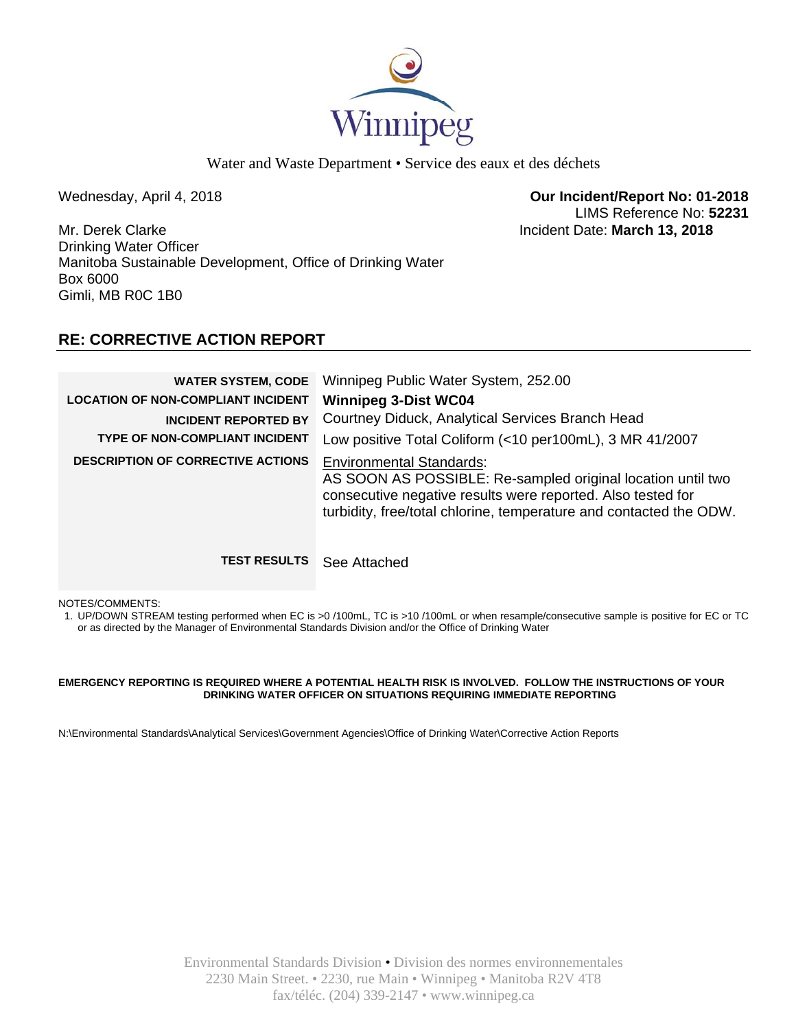

Water and Waste Department • Service des eaux et des déchets

Wednesday, April 4, 2018 **Our Incident/Report No: 01-2018**  LIMS Reference No: **52231**

Mr. Derek Clarke Incident Date: **March 13, 2018**  Drinking Water Officer Manitoba Sustainable Development, Office of Drinking Water Box 6000 Gimli, MB R0C 1B0

# **RE: CORRECTIVE ACTION REPORT**

| <b>WATER SYSTEM, CODE</b><br><b>LOCATION OF NON-COMPLIANT INCIDENT</b><br><b>INCIDENT REPORTED BY</b><br>TYPE OF NON-COMPLIANT INCIDENT<br><b>DESCRIPTION OF CORRECTIVE ACTIONS</b> | Winnipeg Public Water System, 252.00<br><b>Winnipeg 3-Dist WC04</b><br>Courtney Diduck, Analytical Services Branch Head<br>Low positive Total Coliform (<10 per100mL), 3 MR 41/2007<br><b>Environmental Standards:</b><br>AS SOON AS POSSIBLE: Re-sampled original location until two<br>consecutive negative results were reported. Also tested for<br>turbidity, free/total chlorine, temperature and contacted the ODW. |
|-------------------------------------------------------------------------------------------------------------------------------------------------------------------------------------|----------------------------------------------------------------------------------------------------------------------------------------------------------------------------------------------------------------------------------------------------------------------------------------------------------------------------------------------------------------------------------------------------------------------------|
| <b>TEST RESULTS</b>                                                                                                                                                                 | See Attached                                                                                                                                                                                                                                                                                                                                                                                                               |

NOTES/COMMENTS:

1. UP/DOWN STREAM testing performed when EC is >0 /100mL, TC is >10 /100mL or when resample/consecutive sample is positive for EC or TC or as directed by the Manager of Environmental Standards Division and/or the Office of Drinking Water

### **EMERGENCY REPORTING IS REQUIRED WHERE A POTENTIAL HEALTH RISK IS INVOLVED. FOLLOW THE INSTRUCTIONS OF YOUR DRINKING WATER OFFICER ON SITUATIONS REQUIRING IMMEDIATE REPORTING**

N:\Environmental Standards\Analytical Services\Government Agencies\Office of Drinking Water\Corrective Action Reports